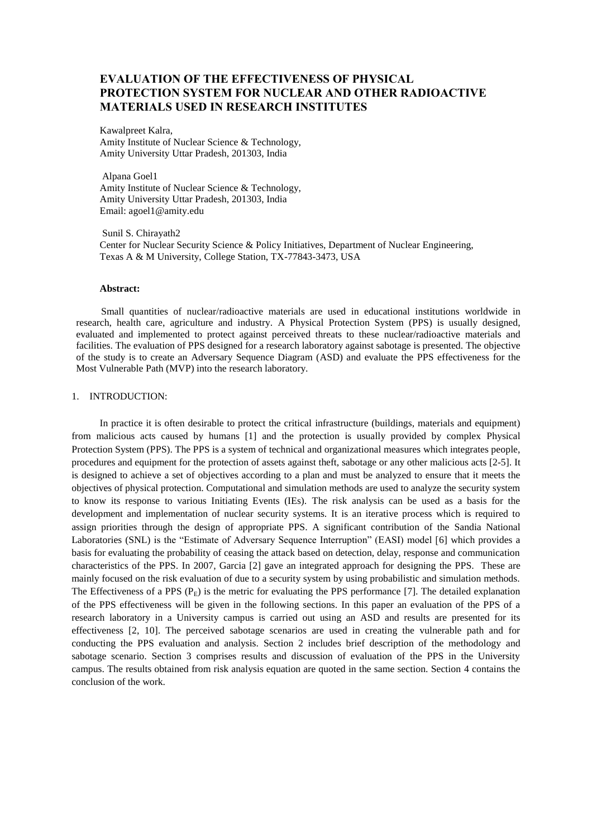# **EVALUATION OF THE EFFECTIVENESS OF PHYSICAL PROTECTION SYSTEM FOR NUCLEAR AND OTHER RADIOACTIVE MATERIALS USED IN RESEARCH INSTITUTES**

Kawalpreet Kalra, Amity Institute of Nuclear Science & Technology, Amity University Uttar Pradesh, 201303, India

Alpana Goel1 Amity Institute of Nuclear Science & Technology, Amity University Uttar Pradesh, 201303, India Email: [agoel1@amity.edu](mailto:agoel1@amity.edu)

Sunil S. Chirayath2 Center for Nuclear Security Science & Policy Initiatives, Department of Nuclear Engineering, Texas A & M University, College Station, TX-77843-3473, USA

## **Abstract:**

 Small quantities of nuclear/radioactive materials are used in educational institutions worldwide in research, health care, agriculture and industry. A Physical Protection System (PPS) is usually designed, evaluated and implemented to protect against perceived threats to these nuclear/radioactive materials and facilities. The evaluation of PPS designed for a research laboratory against sabotage is presented. The objective of the study is to create an Adversary Sequence Diagram (ASD) and evaluate the PPS effectiveness for the Most Vulnerable Path (MVP) into the research laboratory.

### 1. INTRODUCTION:

In practice it is often desirable to protect the critical infrastructure (buildings, materials and equipment) from malicious acts caused by humans [1] and the protection is usually provided by complex Physical Protection System (PPS). The PPS is a system of technical and organizational measures which integrates people, procedures and equipment for the protection of assets against theft, sabotage or any other malicious acts [2-5]. It is designed to achieve a set of objectives according to a plan and must be analyzed to ensure that it meets the objectives of physical protection. Computational and simulation methods are used to analyze the security system to know its response to various Initiating Events (IEs). The risk analysis can be used as a basis for the development and implementation of nuclear security systems. It is an iterative process which is required to assign priorities through the design of appropriate PPS. A significant contribution of the Sandia National Laboratories (SNL) is the "Estimate of Adversary Sequence Interruption" (EASI) model [6] which provides a basis for evaluating the probability of ceasing the attack based on detection, delay, response and communication characteristics of the PPS. In 2007, Garcia [2] gave an integrated approach for designing the PPS. These are mainly focused on the risk evaluation of due to a security system by using probabilistic and simulation methods. The Effectiveness of a PPS  $(P<sub>E</sub>)$  is the metric for evaluating the PPS performance [7]. The detailed explanation of the PPS effectiveness will be given in the following sections. In this paper an evaluation of the PPS of a research laboratory in a University campus is carried out using an ASD and results are presented for its effectiveness [2, 10]. The perceived sabotage scenarios are used in creating the vulnerable path and for conducting the PPS evaluation and analysis. Section 2 includes brief description of the methodology and sabotage scenario. Section 3 comprises results and discussion of evaluation of the PPS in the University campus. The results obtained from risk analysis equation are quoted in the same section. Section 4 contains the conclusion of the work.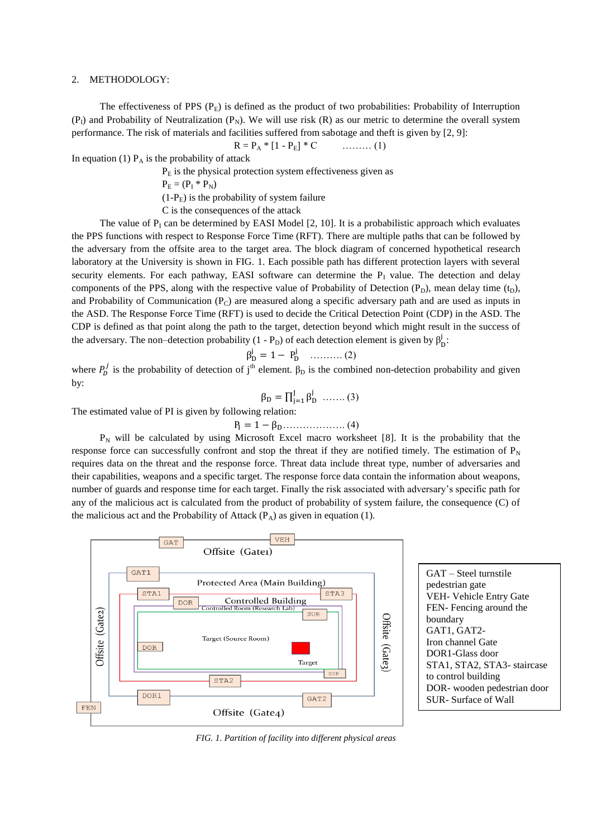#### 2. METHODOLOGY:

The effectiveness of PPS  $(P_E)$  is defined as the product of two probabilities: Probability of Interruption  $(P_1)$  and Probability of Neutralization  $(P_N)$ . We will use risk  $(R)$  as our metric to determine the overall system performance. The risk of materials and facilities suffered from sabotage and theft is given by [2, 9]:

$$
R = P_A * [1 - P_E] * C \qquad \qquad (1)
$$

In equation (1)  $P_A$  is the probability of attack

 $P<sub>E</sub>$  is the physical protection system effectiveness given as

$$
\mathbf{P}_{\mathrm{E}} = (\mathbf{P}_{\mathrm{I}} * \mathbf{P}_{\mathrm{N}})
$$

 $(1-P<sub>E</sub>)$  is the probability of system failure

C is the consequences of the attack

The value of  $P_1$  can be determined by EASI Model [2, 10]. It is a probabilistic approach which evaluates the PPS functions with respect to Response Force Time (RFT). There are multiple paths that can be followed by the adversary from the offsite area to the target area. The block diagram of concerned hypothetical research laboratory at the University is shown in FIG. 1. Each possible path has different protection layers with several security elements. For each pathway, EASI software can determine the  $P<sub>I</sub>$  value. The detection and delay components of the PPS, along with the respective value of Probability of Detection  $(P_D)$ , mean delay time  $(t_D)$ , and Probability of Communication  $(P_C)$  are measured along a specific adversary path and are used as inputs in the ASD. The Response Force Time (RFT) is used to decide the Critical Detection Point (CDP) in the ASD. The CDP is defined as that point along the path to the target, detection beyond which might result in the success of the adversary. The non-detection probability (1 - P<sub>D</sub>) of each detection element is given by  $\beta_D^j$ .

$$
\beta_{\rm D}^{\rm j} = 1 - P_{\rm D}^{\rm j} \quad \dots \dots \dots \dots (2)
$$

where  $P_D^j$  is the probability of detection of j<sup>th</sup> element.  $\beta_D$  is the combined non-detection probability and given by:

$$
\beta_D = \prod_{j=1}^J \beta_D^j \quad \dots \dots \dots (3)
$$

The estimated value of PI is given by following relation:

………………. (4)

 $P_N$  will be calculated by using Microsoft Excel macro worksheet [8]. It is the probability that the response force can successfully confront and stop the threat if they are notified timely. The estimation of  $P_N$ requires data on the threat and the response force. Threat data include threat type, number of adversaries and their capabilities, weapons and a specific target. The response force data contain the information about weapons, number of guards and response time for each target. Finally the risk associated with adversary's specific path for any of the malicious act is calculated from the product of probability of system failure, the consequence (C) of the malicious act and the Probability of Attack  $(P_A)$  as given in equation (1).





*FIG. 1. Partition of facility into different physical areas*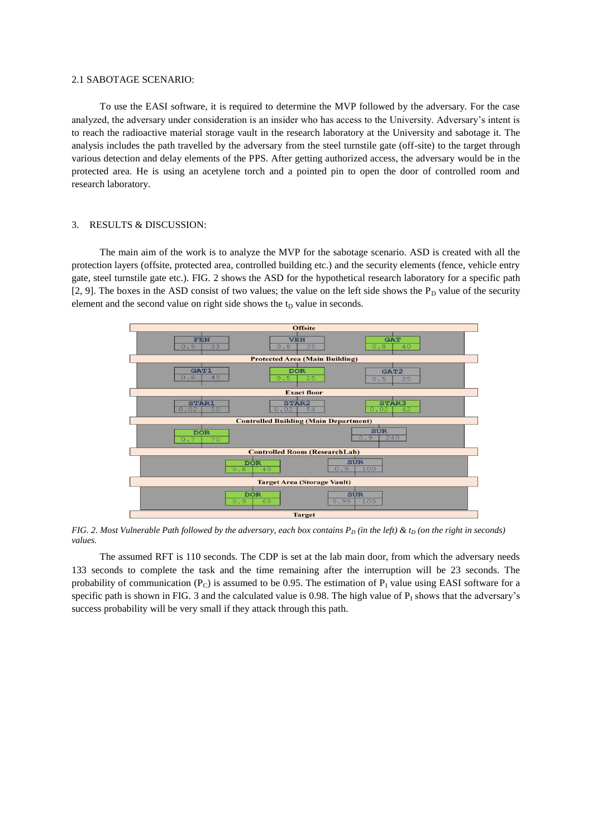#### 2.1 SABOTAGE SCENARIO:

To use the EASI software, it is required to determine the MVP followed by the adversary. For the case analyzed, the adversary under consideration is an insider who has access to the University. Adversary's intent is to reach the radioactive material storage vault in the research laboratory at the University and sabotage it. The analysis includes the path travelled by the adversary from the steel turnstile gate (off-site) to the target through various detection and delay elements of the PPS. After getting authorized access, the adversary would be in the protected area. He is using an acetylene torch and a pointed pin to open the door of controlled room and research laboratory.

### 3. RESULTS & DISCUSSION:

The main aim of the work is to analyze the MVP for the sabotage scenario. ASD is created with all the protection layers (offsite, protected area, controlled building etc.) and the security elements (fence, vehicle entry gate, steel turnstile gate etc.). FIG. 2 shows the ASD for the hypothetical research laboratory for a specific path [2, 9]. The boxes in the ASD consist of two values; the value on the left side shows the  $P_D$  value of the security element and the second value on right side shows the  $t<sub>D</sub>$  value in seconds.



*FIG. 2. Most Vulnerable Path followed by the adversary, each box contains*  $P_D$  *(in the left) &*  $t_D$  *(on the right in seconds) values.*

The assumed RFT is 110 seconds. The CDP is set at the lab main door, from which the adversary needs 133 seconds to complete the task and the time remaining after the interruption will be 23 seconds. The probability of communication ( $P_C$ ) is assumed to be 0.95. The estimation of  $P<sub>I</sub>$  value using EASI software for a specific path is shown in FIG. 3 and the calculated value is 0.98. The high value of  $P<sub>I</sub>$  shows that the adversary's success probability will be very small if they attack through this path.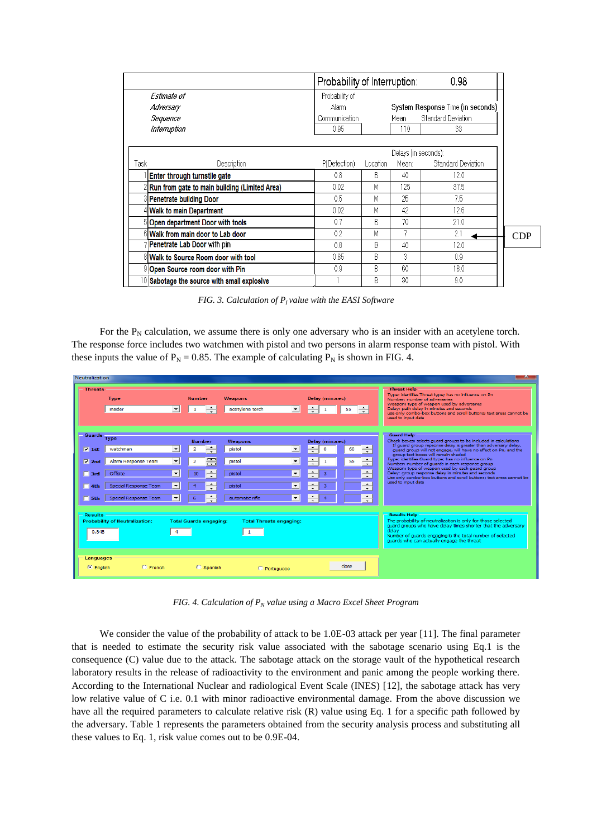|                              |                                                 | 0.98<br>Probability of Interruption: |                      |       |                                   |
|------------------------------|-------------------------------------------------|--------------------------------------|----------------------|-------|-----------------------------------|
| Estimate of                  |                                                 | Probability of                       |                      |       |                                   |
| Adversary                    |                                                 | Alarm                                |                      |       | System Response Time (in seconds) |
| Sequence                     |                                                 | Communication                        |                      | Mean. | <b>Standard Deviation</b>         |
| Interruption                 |                                                 | 0.95                                 |                      | 110   | 33                                |
|                              |                                                 |                                      |                      |       |                                   |
|                              |                                                 |                                      | Delays (in seconds): |       |                                   |
| Task                         | Description                                     | P(Detection)                         | Location             | Mean: | <b>Standard Deviation</b>         |
| Enter through turnstile gate |                                                 | 0.8                                  | B                    | 40    | 12.0                              |
|                              | 2 Run from gate to main building (Limited Area) | 0.02                                 | М                    | 125   | 37.5                              |
|                              | 8 Penetrate building Door                       | 0.5                                  | М                    | 25    | 75                                |
|                              | 4 Walk to main Department                       | 0.02                                 | М                    | 42    | 12.6                              |
|                              | 5 Open department Door with tools               | 0.7                                  | R                    | 70    | 21.0                              |
|                              | 6 Walk from main door to Lab door               | 0.2                                  | М                    |       | 2.1                               |
|                              | 7 Penetrate Lab Door with pin                   | 0.8                                  | B                    | 40    | 12.0                              |
|                              | 8 Walk to Source Room door with tool            | 0.85                                 | B                    | 3     | 0.9                               |
|                              | 9 Open Source room door with Pin                | 0.9                                  | R                    | 60    | 18.0                              |
|                              | 10 Sabotage the source with small explosive     |                                      | B                    | 30    | 9.0                               |

*FIG. 3. Calculation of P<sup>I</sup> value with the EASI Software*

For the  $P_N$  calculation, we assume there is only one adversary who is an insider with an acetylene torch. The response force includes two watchmen with pistol and two persons in alarm response team with pistol. With these inputs the value of  $P_N = 0.85$ . The example of calculating  $P_N$  is shown in FIG. 4.



*FIG. 4. Calculation of P<sup>N</sup> value using a Macro Excel Sheet Program*

We consider the value of the probability of attack to be 1.0E-03 attack per year [11]. The final parameter that is needed to estimate the security risk value associated with the sabotage scenario using Eq.1 is the consequence (C) value due to the attack. The sabotage attack on the storage vault of the hypothetical research laboratory results in the release of radioactivity to the environment and panic among the people working there. According to the International Nuclear and radiological Event Scale (INES) [12], the sabotage attack has very low relative value of C i.e. 0.1 with minor radioactive environmental damage. From the above discussion we have all the required parameters to calculate relative risk (R) value using Eq. 1 for a specific path followed by the adversary. Table 1 represents the parameters obtained from the security analysis process and substituting all these values to Eq. 1, risk value comes out to be 0.9E-04.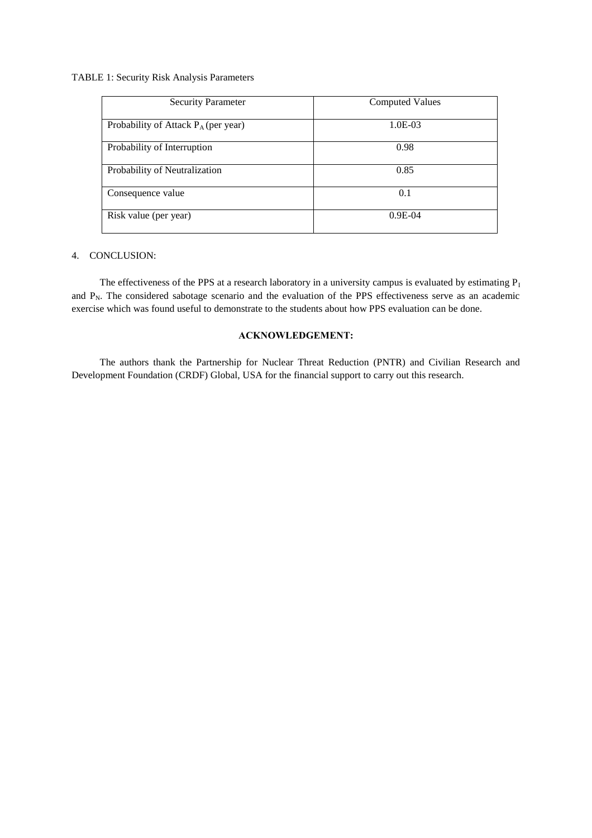### TABLE 1: Security Risk Analysis Parameters

| <b>Security Parameter</b>              | <b>Computed Values</b> |  |  |
|----------------------------------------|------------------------|--|--|
| Probability of Attack $P_A$ (per year) | 1.0E-03                |  |  |
| Probability of Interruption            | 0.98                   |  |  |
| Probability of Neutralization          | 0.85                   |  |  |
| Consequence value                      | 0.1                    |  |  |
| Risk value (per year)                  | $0.9E-04$              |  |  |

## 4. CONCLUSION:

The effectiveness of the PPS at a research laboratory in a university campus is evaluated by estimating  $P_I$ and  $P_N$ . The considered sabotage scenario and the evaluation of the PPS effectiveness serve as an academic exercise which was found useful to demonstrate to the students about how PPS evaluation can be done.

# **ACKNOWLEDGEMENT:**

The authors thank the Partnership for Nuclear Threat Reduction (PNTR) and Civilian Research and Development Foundation (CRDF) Global, USA for the financial support to carry out this research.